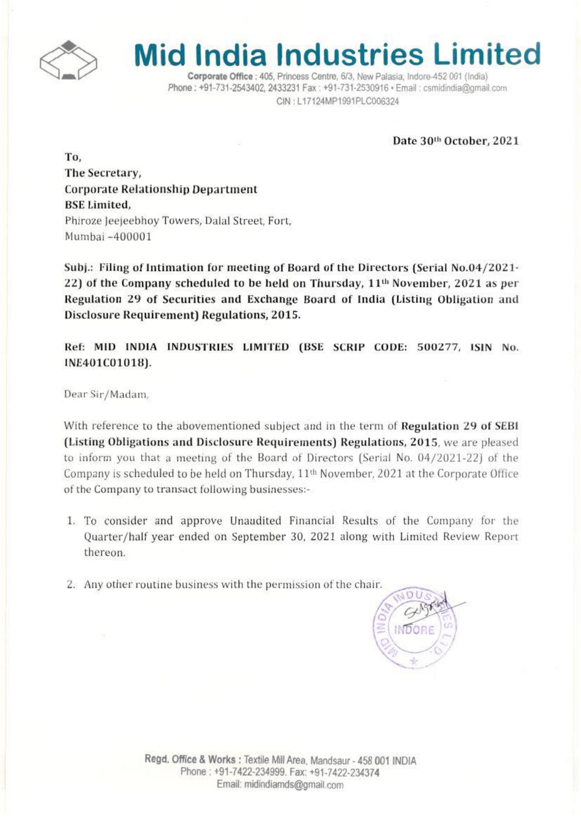

## **Mid India Industries Limited**

Corporate Office : 405, Princess Centre, 6/3, New Palasia, Indore-452 001 (India) Phone: +91-731-2543402, 2433231 Fax: +91-731-2530916 · Email: csmidindia@gmail.com CIN: L17124MP1991PLC006324

Date 30th October, 2021

To. The Secretary, **Corporate Relationship Department BSE Limited.** Phiroze Jeejeebhoy Towers, Dalal Street, Fort, Mumbai -400001

Subj.: Filing of Intimation for meeting of Board of the Directors (Serial No.04/2021-22) of the Company scheduled to be held on Thursday, 11<sup>th</sup> November, 2021 as per Regulation 29 of Securities and Exchange Board of India (Listing Obligation and **Disclosure Requirement) Regulations, 2015.** 

Ref: MID INDIA INDUSTRIES LIMITED (BSE SCRIP CODE: 500277, ISIN No. INE401C01018).

Dear Sir/Madam,

With reference to the abovementioned subject and in the term of Regulation 29 of SEBI (Listing Obligations and Disclosure Requirements) Regulations, 2015, we are pleased to inform you that a meeting of the Board of Directors (Serial No. 04/2021-22) of the Company is scheduled to be held on Thursday, 11<sup>th</sup> November, 2021 at the Corporate Office of the Company to transact following businesses:-

- 1. To consider and approve Unaudited Financial Results of the Company for the Quarter/half year ended on September 30, 2021 along with Limited Review Report thereon.
- 2. Any other routine business with the permission of the chair.